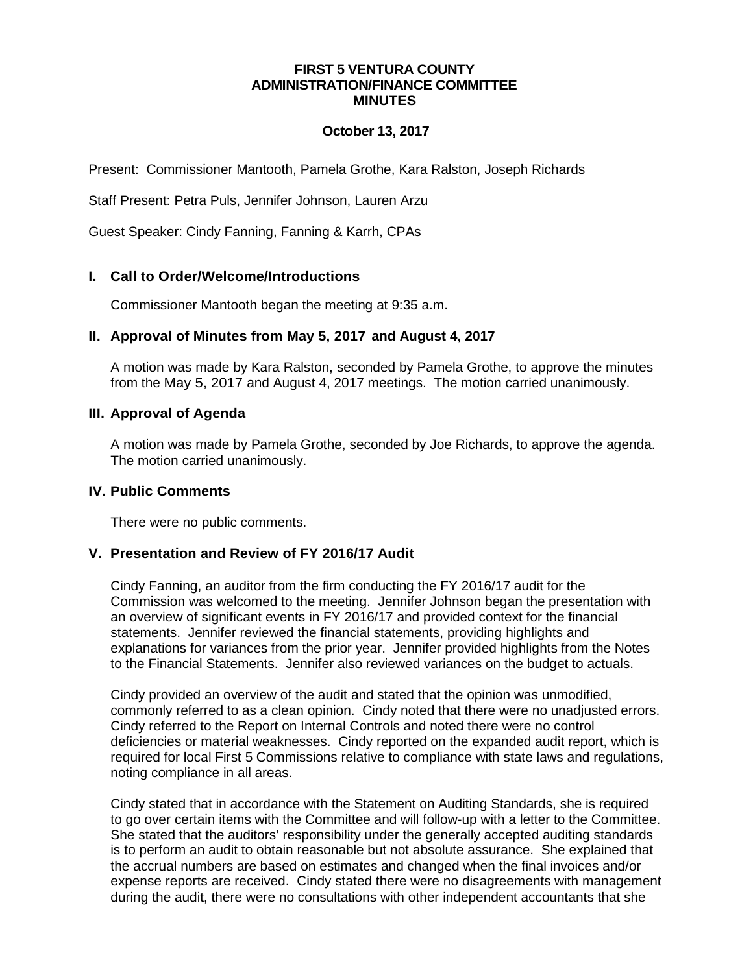### **FIRST 5 VENTURA COUNTY ADMINISTRATION/FINANCE COMMITTEE MINUTES**

### **October 13, 2017**

Present: Commissioner Mantooth, Pamela Grothe, Kara Ralston, Joseph Richards

Staff Present: Petra Puls, Jennifer Johnson, Lauren Arzu

Guest Speaker: Cindy Fanning, Fanning & Karrh, CPAs

### **I. Call to Order/Welcome/Introductions**

Commissioner Mantooth began the meeting at 9:35 a.m.

### **II. Approval of Minutes from May 5, 2017 and August 4, 2017**

A motion was made by Kara Ralston, seconded by Pamela Grothe, to approve the minutes from the May 5, 2017 and August 4, 2017 meetings. The motion carried unanimously.

### **III. Approval of Agenda**

A motion was made by Pamela Grothe, seconded by Joe Richards, to approve the agenda. The motion carried unanimously.

### **IV. Public Comments**

There were no public comments.

## **V. Presentation and Review of FY 2016/17 Audit**

Cindy Fanning, an auditor from the firm conducting the FY 2016/17 audit for the Commission was welcomed to the meeting. Jennifer Johnson began the presentation with an overview of significant events in FY 2016/17 and provided context for the financial statements. Jennifer reviewed the financial statements, providing highlights and explanations for variances from the prior year. Jennifer provided highlights from the Notes to the Financial Statements. Jennifer also reviewed variances on the budget to actuals.

Cindy provided an overview of the audit and stated that the opinion was unmodified, commonly referred to as a clean opinion. Cindy noted that there were no unadjusted errors. Cindy referred to the Report on Internal Controls and noted there were no control deficiencies or material weaknesses. Cindy reported on the expanded audit report, which is required for local First 5 Commissions relative to compliance with state laws and regulations, noting compliance in all areas.

Cindy stated that in accordance with the Statement on Auditing Standards, she is required to go over certain items with the Committee and will follow-up with a letter to the Committee. She stated that the auditors' responsibility under the generally accepted auditing standards is to perform an audit to obtain reasonable but not absolute assurance. She explained that the accrual numbers are based on estimates and changed when the final invoices and/or expense reports are received. Cindy stated there were no disagreements with management during the audit, there were no consultations with other independent accountants that she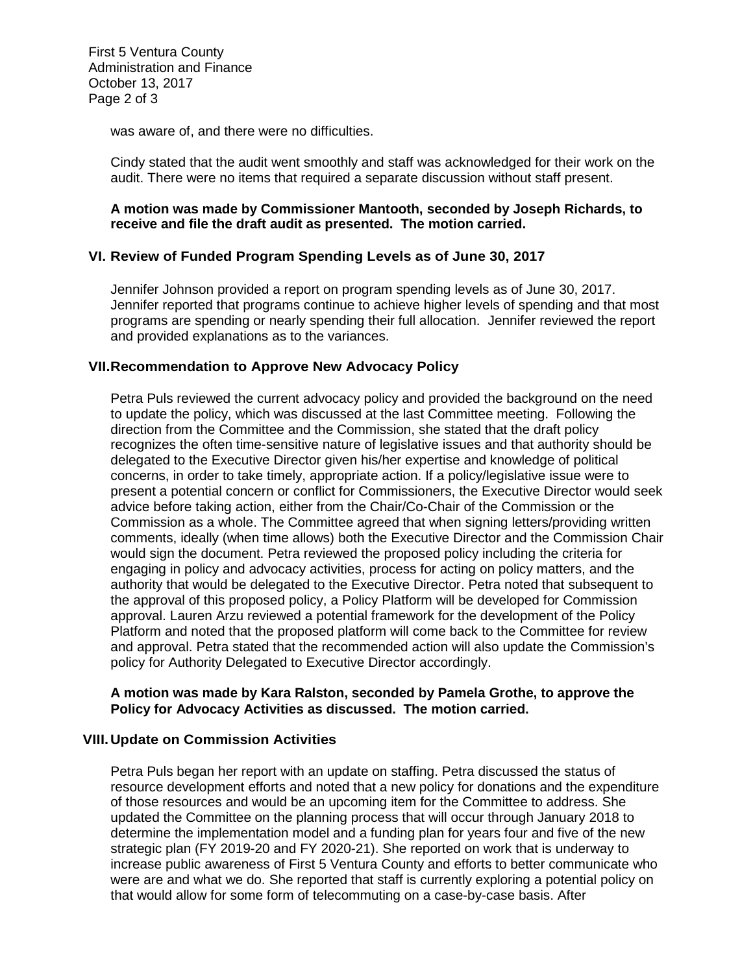First 5 Ventura County Administration and Finance October 13, 2017 Page 2 of 3

was aware of, and there were no difficulties.

Cindy stated that the audit went smoothly and staff was acknowledged for their work on the audit. There were no items that required a separate discussion without staff present.

### **A motion was made by Commissioner Mantooth, seconded by Joseph Richards, to receive and file the draft audit as presented. The motion carried.**

## **VI. Review of Funded Program Spending Levels as of June 30, 2017**

Jennifer Johnson provided a report on program spending levels as of June 30, 2017. Jennifer reported that programs continue to achieve higher levels of spending and that most programs are spending or nearly spending their full allocation. Jennifer reviewed the report and provided explanations as to the variances.

### **VII.Recommendation to Approve New Advocacy Policy**

Petra Puls reviewed the current advocacy policy and provided the background on the need to update the policy, which was discussed at the last Committee meeting. Following the direction from the Committee and the Commission, she stated that the draft policy recognizes the often time-sensitive nature of legislative issues and that authority should be delegated to the Executive Director given his/her expertise and knowledge of political concerns, in order to take timely, appropriate action. If a policy/legislative issue were to present a potential concern or conflict for Commissioners, the Executive Director would seek advice before taking action, either from the Chair/Co-Chair of the Commission or the Commission as a whole. The Committee agreed that when signing letters/providing written comments, ideally (when time allows) both the Executive Director and the Commission Chair would sign the document. Petra reviewed the proposed policy including the criteria for engaging in policy and advocacy activities, process for acting on policy matters, and the authority that would be delegated to the Executive Director. Petra noted that subsequent to the approval of this proposed policy, a Policy Platform will be developed for Commission approval. Lauren Arzu reviewed a potential framework for the development of the Policy Platform and noted that the proposed platform will come back to the Committee for review and approval. Petra stated that the recommended action will also update the Commission's policy for Authority Delegated to Executive Director accordingly.

### **A motion was made by Kara Ralston, seconded by Pamela Grothe, to approve the Policy for Advocacy Activities as discussed. The motion carried.**

### **VIII.Update on Commission Activities**

Petra Puls began her report with an update on staffing. Petra discussed the status of resource development efforts and noted that a new policy for donations and the expenditure of those resources and would be an upcoming item for the Committee to address. She updated the Committee on the planning process that will occur through January 2018 to determine the implementation model and a funding plan for years four and five of the new strategic plan (FY 2019-20 and FY 2020-21). She reported on work that is underway to increase public awareness of First 5 Ventura County and efforts to better communicate who were are and what we do. She reported that staff is currently exploring a potential policy on that would allow for some form of telecommuting on a case-by-case basis. After